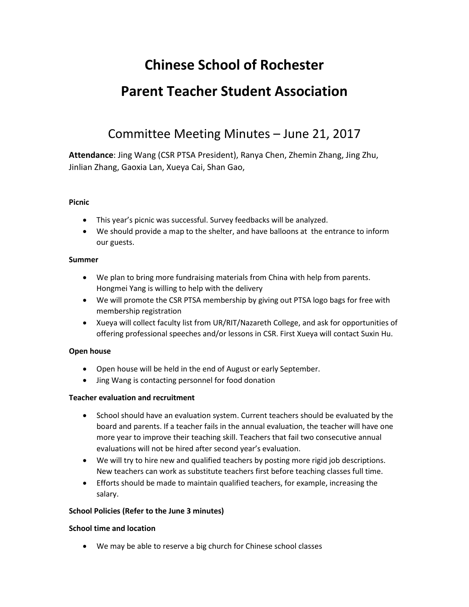# **Chinese School of Rochester Parent Teacher Student Association**

# Committee Meeting Minutes – June 21, 2017

**Attendance**: Jing Wang (CSR PTSA President), Ranya Chen, Zhemin Zhang, Jing Zhu, Jinlian Zhang, Gaoxia Lan, Xueya Cai, Shan Gao,

# **Picnic**

- This year's picnic was successful. Survey feedbacks will be analyzed.
- We should provide a map to the shelter, and have balloons at the entrance to inform our guests.

## **Summer**

- We plan to bring more fundraising materials from China with help from parents. Hongmei Yang is willing to help with the delivery
- We will promote the CSR PTSA membership by giving out PTSA logo bags for free with membership registration
- Xueya will collect faculty list from UR/RIT/Nazareth College, and ask for opportunities of offering professional speeches and/or lessons in CSR. First Xueya will contact Suxin Hu.

# **Open house**

- Open house will be held in the end of August or early September.
- Jing Wang is contacting personnel for food donation

## **Teacher evaluation and recruitment**

- School should have an evaluation system. Current teachers should be evaluated by the board and parents. If a teacher fails in the annual evaluation, the teacher will have one more year to improve their teaching skill. Teachers that fail two consecutive annual evaluations will not be hired after second year's evaluation.
- We will try to hire new and qualified teachers by posting more rigid job descriptions. New teachers can work as substitute teachers first before teaching classes full time.
- Efforts should be made to maintain qualified teachers, for example, increasing the salary.

## **School Policies (Refer to the June 3 minutes)**

## **School time and location**

• We may be able to reserve a big church for Chinese school classes